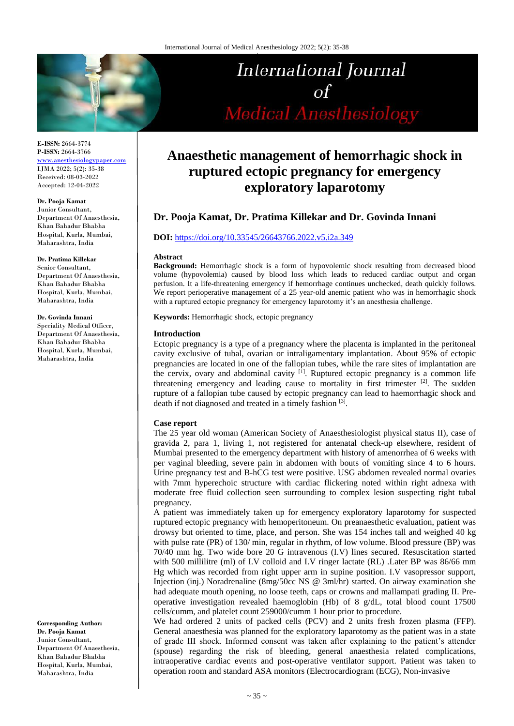

**E-ISSN:** 2664-3774 **P-ISSN:** 2664-3766 [www.anesthesiologypaper.com](http://www.anesthesiologypaper.com/) IJMA 2022; 5(2): 35-38 Received: 08-03-2022 Accepted: 12-04-2022

#### **Dr. Pooja Kamat**

Junior Consultant, Department Of Anaesthesia, Khan Bahadur Bhabha Hospital, Kurla, Mumbai, Maharashtra, India

#### **Dr. Pratima Killekar**

Senior Consultant, Department Of Anaesthesia, Khan Bahadur Bhabha Hospital, Kurla, Mumbai, Maharashtra, India

#### **Dr. Govinda Innani**

Speciality Medical Officer, Department Of Anaesthesia, Khan Bahadur Bhabha Hospital, Kurla, Mumbai, Maharashtra, India

**Corresponding Author: Dr. Pooja Kamat** Junior Consultant, Department Of Anaesthesia, Khan Bahadur Bhabha Hospital, Kurla, Mumbai, Maharashtra, India

# International Journal  $\sigma f$ **Medical Anesthesiology**

# **Anaesthetic management of hemorrhagic shock in ruptured ectopic pregnancy for emergency exploratory laparotomy**

# **Dr. Pooja Kamat, Dr. Pratima Killekar and Dr. Govinda Innani**

# **DOI:** <https://doi.org/10.33545/26643766.2022.v5.i2a.349>

#### **Abstract**

**Background:** Hemorrhagic shock is a form of hypovolemic shock resulting from decreased blood volume (hypovolemia) caused by blood loss which leads to reduced cardiac output and organ perfusion. It a life-threatening emergency if hemorrhage continues unchecked, death quickly follows. We report perioperative management of a 25 year-old anemic patient who was in hemorrhagic shock with a ruptured ectopic pregnancy for emergency laparotomy it's an anesthesia challenge.

**Keywords:** Hemorrhagic shock, ectopic pregnancy

#### **Introduction**

Ectopic pregnancy is a type of a pregnancy where the placenta is implanted in the peritoneal cavity exclusive of tubal, ovarian or intraligamentary implantation. About 95% of ectopic pregnancies are located in one of the fallopian tubes, while the rare sites of implantation are the cervix, ovary and abdominal cavity  $[1]$ . Ruptured ectopic pregnancy is a common life threatening emergency and leading cause to mortality in first trimester  $[2]$ . The sudden rupture of a fallopian tube caused by ectopic pregnancy can lead to haemorrhagic shock and death if not diagnosed and treated in a timely fashion [3].

#### **Case report**

The 25 year old woman (American Society of Anaesthesiologist physical status II), case of gravida 2, para 1, living 1, not registered for antenatal check-up elsewhere, resident of Mumbai presented to the emergency department with history of amenorrhea of 6 weeks with per vaginal bleeding, severe pain in abdomen with bouts of vomiting since 4 to 6 hours. Urine pregnancy test and B-hCG test were positive. USG abdomen revealed normal ovaries with 7mm hyperechoic structure with cardiac flickering noted within right adnexa with moderate free fluid collection seen surrounding to complex lesion suspecting right tubal pregnancy.

A patient was immediately taken up for emergency exploratory laparotomy for suspected ruptured ectopic pregnancy with hemoperitoneum. On preanaesthetic evaluation, patient was drowsy but oriented to time, place, and person. She was 154 inches tall and weighed 40 kg with pulse rate (PR) of 130/ min, regular in rhythm, of low volume. Blood pressure (BP) was 70/40 mm hg. Two wide bore 20 G intravenous (I.V) lines secured. Resuscitation started with 500 millilitre (ml) of I.V colloid and I.V ringer lactate (RL) .Later BP was 86/66 mm Hg which was recorded from right upper arm in supine position. I.V vasopressor support, Injection (inj.) Noradrenaline (8mg/50cc NS @ 3ml/hr) started. On airway examination she had adequate mouth opening, no loose teeth, caps or crowns and mallampati grading II. Preoperative investigation revealed haemoglobin (Hb) of 8 g/dL, total blood count 17500 cells/cumm, and platelet count 259000/cumm 1 hour prior to procedure.

We had ordered 2 units of packed cells (PCV) and 2 units fresh frozen plasma (FFP). General anaesthesia was planned for the exploratory laparotomy as the patient was in a state of grade III shock. Informed consent was taken after explaining to the patient's attender (spouse) regarding the risk of bleeding, general anaesthesia related complications, intraoperative cardiac events and post-operative ventilator support. Patient was taken to operation room and standard ASA monitors (Electrocardiogram (ECG), Non-invasive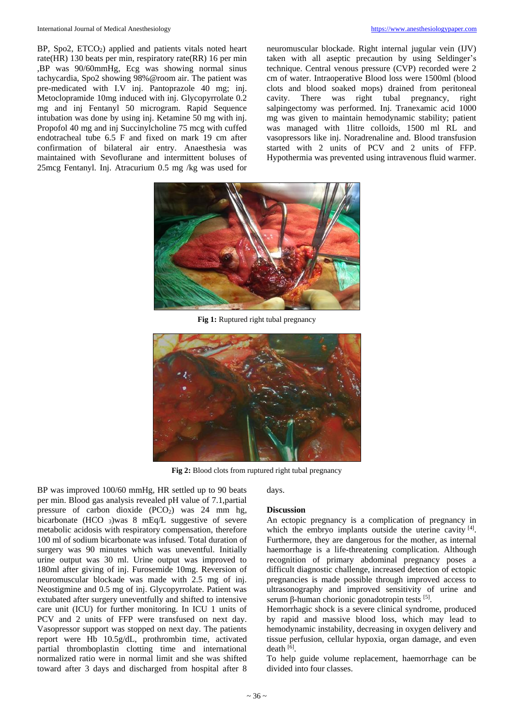BP, Spo2,  $ETCO<sub>2</sub>$ ) applied and patients vitals noted heart rate(HR) 130 beats per min, respiratory rate(RR) 16 per min ,BP was 90/60mmHg, Ecg was showing normal sinus tachycardia, Spo2 showing 98%@room air. The patient was pre-medicated with I.V inj. Pantoprazole 40 mg; inj. Metoclopramide 10mg induced with inj. Glycopyrrolate 0.2 mg and inj Fentanyl 50 microgram. Rapid Sequence intubation was done by using inj. Ketamine 50 mg with inj. Propofol 40 mg and inj Succinylcholine 75 mcg with cuffed endotracheal tube 6.5 F and fixed on mark 19 cm after confirmation of bilateral air entry. Anaesthesia was maintained with Sevoflurane and intermittent boluses of 25mcg Fentanyl. Inj. Atracurium 0.5 mg /kg was used for

neuromuscular blockade. Right internal jugular vein (IJV) taken with all aseptic precaution by using Seldinger's technique. Central venous pressure (CVP) recorded were 2 cm of water. Intraoperative Blood loss were 1500ml (blood clots and blood soaked mops) drained from peritoneal cavity. There was right tubal pregnancy, right salpingectomy was performed. Inj. Tranexamic acid 1000 mg was given to maintain hemodynamic stability; patient was managed with 1litre colloids, 1500 ml RL and vasopressors like inj. Noradrenaline and. Blood transfusion started with 2 units of PCV and 2 units of FFP. Hypothermia was prevented using intravenous fluid warmer.



**Fig 1:** Ruptured right tubal pregnancy



**Fig 2:** Blood clots from ruptured right tubal pregnancy

BP was improved 100/60 mmHg, HR settled up to 90 beats per min. Blood gas analysis revealed pH value of 7.1,partial pressure of carbon dioxide  $(PCO<sub>2</sub>)$  was 24 mm hg, bicarbonate (HCO  $_3$ )was 8 mEq/L suggestive of severe metabolic acidosis with respiratory compensation, therefore 100 ml of sodium bicarbonate was infused. Total duration of surgery was 90 minutes which was uneventful. Initially urine output was 30 ml. Urine output was improved to 180ml after giving of inj. Furosemide 10mg. Reversion of neuromuscular blockade was made with 2.5 mg of inj. Neostigmine and 0.5 mg of inj. Glycopyrrolate. Patient was extubated after surgery uneventfully and shifted to intensive care unit (ICU) for further monitoring. In ICU 1 units of PCV and 2 units of FFP were transfused on next day. Vasopressor support was stopped on next day. The patients report were Hb 10.5g/dL, prothrombin time, activated partial thromboplastin clotting time and international normalized ratio were in normal limit and she was shifted toward after 3 days and discharged from hospital after 8

days.

#### **Discussion**

An ectopic pregnancy is a complication of pregnancy in which the embryo implants outside the uterine cavity [4]. Furthermore, they are dangerous for the mother, as internal haemorrhage is a life-threatening complication. Although recognition of primary abdominal pregnancy poses a difficult diagnostic challenge, increased detection of ectopic pregnancies is made possible through improved access to ultrasonography and improved sensitivity of urine and serum β-human chorionic gonadotropin tests [5].

Hemorrhagic shock is a severe clinical syndrome, produced by rapid and massive blood loss, which may lead to hemodynamic instability, decreasing in oxygen delivery and tissue perfusion, cellular hypoxia, organ damage, and even death [6].

To help guide volume replacement, haemorrhage can be divided into four classes.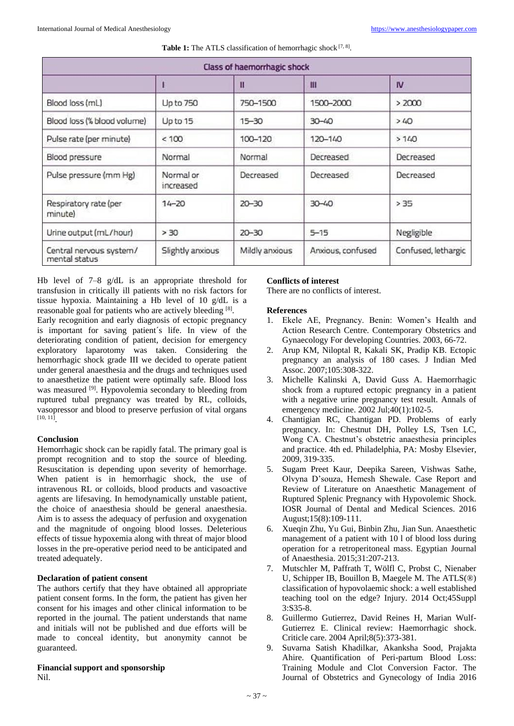| <b>Class of haemorrhagic shock</b>       |                        |                |                   |                     |
|------------------------------------------|------------------------|----------------|-------------------|---------------------|
|                                          |                        | Ш              | Ш                 | <b>IV</b>           |
| Blood loss (mL)                          | Up to 750              | 750-1500       | 1500-2000         | > 2000              |
| Blood loss (% blood volume)              | Up to 15               | $15 - 30$      | $-40$             | >40                 |
| Pulse rate (per minute)                  | < 100                  | 100-120        | 120-140           | > 140               |
| Blood pressure                           | Normal                 | Normal         | Decreased         | Decreased           |
| Pulse pressure (mm Hg)                   | Normal or<br>increased | Decreased      | Decreased         | Decreased           |
| Respiratory rate (per<br>minute)         | $14 - 20$              | $20 - 30$      | $04 - 05$         | > 35                |
| Urine output (mL/hour)                   | > 30                   | $20 - 30$      | $5 - 15$          | Negligible          |
| Central nervous system/<br>mental status | Slightly anxious       | Mildly anxious | Anxious, confused | Confused, lethargic |

Table 1: The ATLS classification of hemorrhagic shock [7, 8].

Hb level of 7–8 g/dL is an appropriate threshold for transfusion in critically ill patients with no risk factors for tissue hypoxia. Maintaining a Hb level of 10 g/dL is a reasonable goal for patients who are actively bleeding [8].

Early recognition and early diagnosis of ectopic pregnancy is important for saving patient´s life. In view of the deteriorating condition of patient, decision for emergency exploratory laparotomy was taken. Considering the hemorrhagic shock grade III we decided to operate patient under general anaesthesia and the drugs and techniques used to anaesthetize the patient were optimally safe. Blood loss was measured <sup>[9]</sup>. Hypovolemia secondary to bleeding from ruptured tubal pregnancy was treated by RL, colloids, vasopressor and blood to preserve perfusion of vital organs [10, 11] .

## **Conclusion**

Hemorrhagic shock can be rapidly fatal. The primary goal is prompt recognition and to stop the source of bleeding. Resuscitation is depending upon severity of hemorrhage. When patient is in hemorrhagic shock, the use of intravenous RL or colloids, blood products and vasoactive agents are lifesaving. In hemodynamically unstable patient, the choice of anaesthesia should be general anaesthesia. Aim is to assess the adequacy of perfusion and oxygenation and the magnitude of ongoing blood losses. Deleterious effects of tissue hypoxemia along with threat of major blood losses in the pre-operative period need to be anticipated and treated adequately.

## **Declaration of patient consent**

The authors certify that they have obtained all appropriate patient consent forms. In the form, the patient has given her consent for his images and other clinical information to be reported in the journal. The patient understands that name and initials will not be published and due efforts will be made to conceal identity, but anonymity cannot be guaranteed.

# **Financial support and sponsorship**

Nil.

# **Conflicts of interest**

There are no conflicts of interest.

## **References**

- 1. Ekele AE, Pregnancy. Benin: Women's Health and Action Research Centre. Contemporary Obstetrics and Gynaecology For developing Countries. 2003, 66-72.
- 2. Arup KM, Niloptal R, Kakali SK, Pradip KB. Ectopic pregnancy an analysis of 180 cases. J Indian Med Assoc. 2007;105:308-322.
- 3. Michelle Kalinski A, David Guss A. Haemorrhagic shock from a ruptured ectopic pregnancy in a patient with a negative urine pregnancy test result. Annals of emergency medicine. 2002 Jul;40(1):102-5.
- 4. Chantigian RC, Chantigan PD. Problems of early pregnancy. In: Chestnut DH, Polley LS, Tsen LC, Wong CA. Chestnut's obstetric anaesthesia principles and practice. 4th ed. Philadelphia, PA: Mosby Elsevier, 2009, 319-335.
- 5. Sugam Preet Kaur, Deepika Sareen, Vishwas Sathe, Olvyna D'souza, Hemesh Shewale. Case Report and Review of Literature on Anaesthetic Management of Ruptured Splenic Pregnancy with Hypovolemic Shock. IOSR Journal of Dental and Medical Sciences. 2016 August;15(8):109-111.
- 6. Xueqin Zhu, Yu Gui, Binbin Zhu, Jian Sun. Anaesthetic management of a patient with 10 l of blood loss during operation for a retroperitoneal mass. Egyptian Journal of Anaesthesia. 2015;31:207-213.
- 7. Mutschler M, Paffrath T, Wölfl C, Probst C, Nienaber U, Schipper IB, Bouillon B, Maegele M. The ATLS(®) classification of hypovolaemic shock: a well established teaching tool on the edge? Injury. 2014 Oct;45Suppl 3:S35-8.
- 8. Guillermo Gutierrez, David Reines H, Marian Wulf-Gutierrez E. Clinical review: Haemorrhagic shock. Criticle care. 2004 April;8(5):373-381.
- 9. Suvarna Satish Khadilkar, Akanksha Sood, Prajakta Ahire. Quantification of Peri-partum Blood Loss: Training Module and Clot Conversion Factor. The Journal of Obstetrics and Gynecology of India 2016